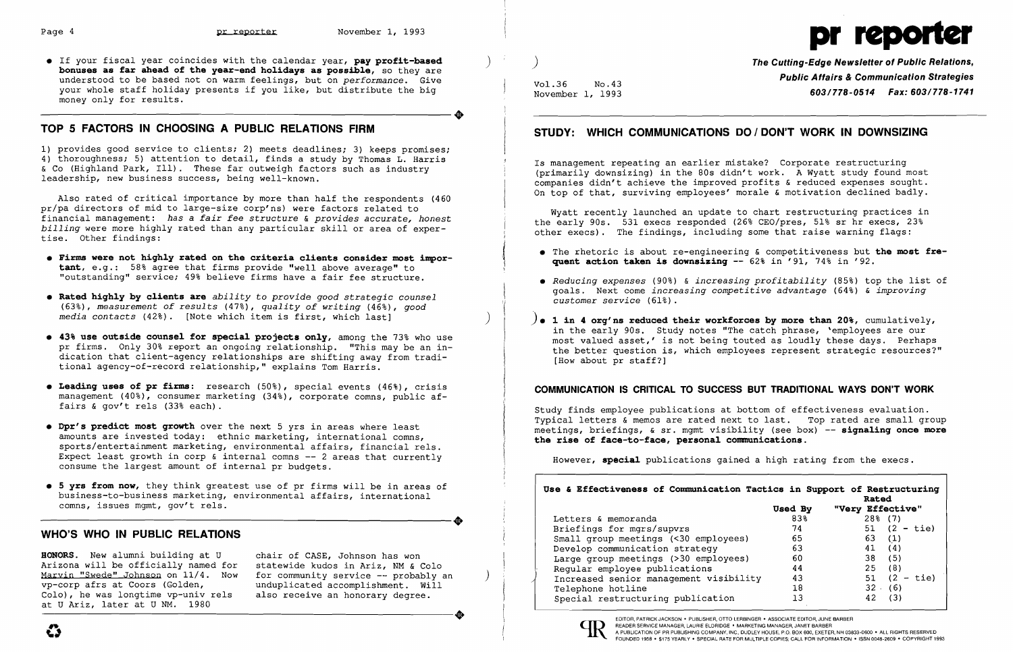**•** If your fiscal year coincides with the calendar year, pay profit-based **bonuses as far ahead of the year-end ho1idays as possib1e,** so they are understood to be based not on warm feelings, but on *performance.* Give your whole staff holiday presents if you like, but distribute the big<br>money only for results. money only for results. Ì,

# **TOP 5 FACTORS IN CHOOSING A PUBLIC RELATIONS FIRM**

- **• Firms were not high1y rated on the criteria c1ients consider most important,** e.g.: 58% agree that firms provide "well above average" to "outstanding" service; 49% believe firms have a fair fee structure.
- **• Rated high1y by c1ients are** *ability* to *provide good strategic counsel (63%), measurement of results* (47%), *quality of writing* (46%), *good media contacts* (42%). [Note which item is first, which last] ŗ.
- **• 43% use outside counse1 for specia1 projects on1y,** among the 73% who use pr firms. Only 30% report an ongoing relationship. "This may be an indication that client-agency relationships are shifting away from traditional agency-of-record relationship," explains Tom Harris.
- **• Leading uses of pr firms:** research (50%), special events (46%), crisis management (40%), consumer marketing (34%), corporate comns, public af-<br>fairs & gov't rels (33% each). fairs & gov't rels (33% each).
- **• Dpr's predict most growth** over the next 5 yrs in areas where least amounts are invested today: ethnic marketing, international comns, sports/entertainment marketing, environmental affairs, financial rels. Expect least growth in corp  $\delta$  internal comns -- 2 areas that currently consume the largest amount of internal pr budgets.
- **5 yrs from now,** they think greatest use of pr firms will be in areas of business-to-business marketing, environmental affairs, international comns, issues mgmt, gov't rels. business-to-business marketing, environmental affairs, international<br>comns, issues mgmt, gov't rels.

1) provides good service to clients; 2) meets deadlines; 3) keeps promises; 4) thoroughness; 5) attention to detail, finds a study by Thomas L. Harris & Co (Highland Park, Ill). These far outweigh factors such as industry leadership, new business success, being well-known.

Also rated of critical importance by more than half the respondents (460 pr/pa directors of mid to large-size corp'ns) were factors related to financial management: *has* a *fair fee structure* & *provides accurate, honest billing* were more highly rated than any particular *skill* or area of expertise. Other findings:

**HONORS.** New alumni building at U chair of CASE, Johnson has won Arizona will be officially named for<br>Marvin "Swede" Johnson on 11/4. Now Marvin "Swede" Johnson on 11/4. Now for community service -- probably an vp-corp afrs at Coors (Golden, unduplicated accomplishment. Will Colo), he was longtime vp-univ rels at U Ariz, later at U NM. 1980 vp-corp afrs at Coors (Golden, unduplicated accomplishment. Will<br>Colo), he was longtime vp-univ rels also receive an honorary degree.<br>at U Ariz, later at U NM. 1980

unduplicated accomplishment. Will<br>also receive an honorary degree.

Vol.36 No.43<br>November 1, 1993

Wyatt recently launched an update to chart restructuring practices in the early 90s. 531 execs responded (26% CEO/pres, 51% sr hr execs, 23% other execs). The findings, including some that raise warning flags:

Letters & memoranda Briefings for mgrs/supvrs Small group meetings (<30 employees) Develop communication strategy Large group meetings (>30 employees)<br>Reqular employee publications Regular employee publications and the sequence of the sequence of the sequence of the sequence of the sequence of  $44$ <br>  $\uparrow$  10  $\uparrow$  10  $\uparrow$  10  $\uparrow$  10  $\uparrow$  10  $\uparrow$  10  $\uparrow$  13  $\uparrow$  13  $\uparrow$  13  $\uparrow$  13  $\uparrow$  13  $\up$ Increased senior management visibility 43<br>Telephone hotline 18<br>Special restructuring publication 13

# **WHO'S WHO IN PUBLIC RELATIONS**

**#" \.1** 

Page 4 **pr reporter** November 1, 1993

) ) **The Cutting-Edge Newsletter of Public Relations, Public Affairs & Communication Strategies**  November 1, 1993 **603/778-0514 Fax: 603/778-1741** 

# **STUDY: WHICH COMMUNICATIONS DO I DON'T WORK IN DOWNSIZING**

Is management repeating an earlier mistake? Corporate restructuring (primarily downsizing) in the 80s didn't work. A Wyatt study found most companies didn't achieve the improved profits & reduced expenses sought. On top of that, surviving employees' morale & motivation declined badly.

{ • The rhetoric is about re-engineering & competitiveness but **the most fre**

- ( **quent action taken is downsizing** -- 62% in '91, 74% in '92. \
- *• Reducing expenses* (90%) & *increasing profitability* (85%) top the list of goals. Next come *increasing competitive advantage* (64%) & *improving customer service* (61%).
- ) **). 1 in 4 org'ns reduced their workforces by more than 20%,** cumulatively, in the early 90s. Study notes "The catch phrase, 'employees are our most valued asset,' is not being touted as loudly these days. Perhaps the better question is, which employees represent strategic resources?" [How about pr staff?]

## **COMMUNICATION IS CRITICAL TO SUCCESS BUT TRADITIONAL WAYS DON'T WORK**

Study finds employee publications at bottom of effectiveness evaluation. Typical letters & memos are rated next to last. Top rated are small group meetings, briefings, & sr. mgmt visibility (see box) -- **signa1ing once more the rise of face-to-face, persona1 communications.** 

However, **specia1** publications gained a high rating from the execs.

**Use & Effectiveness of Communication** 

|         |                  | Rated          |  |  |
|---------|------------------|----------------|--|--|
| Used By | "Very Effective" |                |  |  |
| 83%     |                  | $28\%$ (7)     |  |  |
| 74      |                  | 51 $(2 - tie)$ |  |  |
| 65      | 63               | (1)            |  |  |
| 63      | 41               | (4)            |  |  |
| 60      |                  | 38<br>(5)      |  |  |
| 44      |                  | (8)<br>25      |  |  |
| 43      |                  | $51 (2 - tie)$ |  |  |
| 18      |                  | 32(6)          |  |  |
| 13      | 42               | (3)            |  |  |



EDITOR, PATRICK JACKSON • PUBLISHER, OTTO LERBINGER· ASSOCIATE EDITOR,JUNE BARBER READER SERVICE MANAGER, LAURIE ELDRIDGE· MARKETING MANAGER, JANET BARBER A PUBLICATION OF PR PUBLISHING COMPANY, INC., DUDLEY HOUSE, P.O. BOX 600, EXETER, NH 03833-0600 • ALL RIGHTS RESERVED FOUNDED 1958 • \$175 YEARLY· SPECIAL RATE FOR MULTIPLE COPIES; CALL FOR INFORMATION· ISSN 0048-2609 • COPYRIGHT 1993